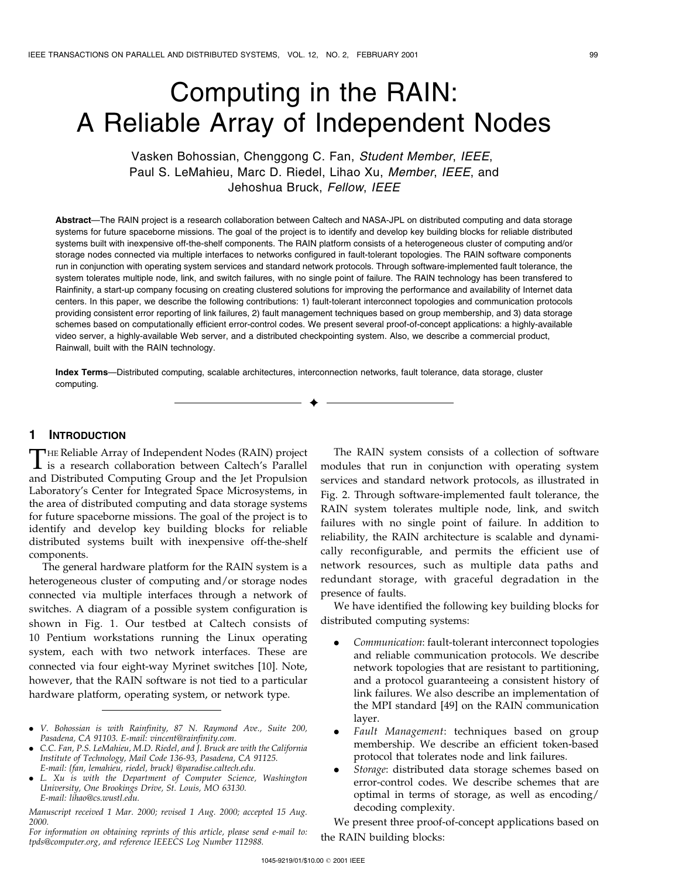# Computing in the RAIN: A Reliable Array of Independent Nodes

Vasken Bohossian, Chenggong C. Fan, Student Member, IEEE, Paul S. LeMahieu, Marc D. Riedel, Lihao Xu, Member, IEEE, and Jehoshua Bruck, Fellow, IEEE

Abstract—The RAIN project is a research collaboration between Caltech and NASA-JPL on distributed computing and data storage systems for future spaceborne missions. The goal of the project is to identify and develop key building blocks for reliable distributed systems built with inexpensive off-the-shelf components. The RAIN platform consists of a heterogeneous cluster of computing and/or storage nodes connected via multiple interfaces to networks configured in fault-tolerant topologies. The RAIN software components run in conjunction with operating system services and standard network protocols. Through software-implemented fault tolerance, the system tolerates multiple node, link, and switch failures, with no single point of failure. The RAIN technology has been transfered to Rainfinity, a start-up company focusing on creating clustered solutions for improving the performance and availability of Internet data centers. In this paper, we describe the following contributions: 1) fault-tolerant interconnect topologies and communication protocols providing consistent error reporting of link failures, 2) fault management techniques based on group membership, and 3) data storage schemes based on computationally efficient error-control codes. We present several proof-of-concept applications: a highly-available video server, a highly-available Web server, and a distributed checkpointing system. Also, we describe a commercial product, Rainwall, built with the RAIN technology.

Index Terms-Distributed computing, scalable architectures, interconnection networks, fault tolerance, data storage, cluster computing.

æ

# 1 INTRODUCTION

THE Reliable Array of Independent Nodes (RAIN) project<br>is a research collaboration between Caltech's Parallel<br>and Distributed Convention Carum and the Lt Departies and Distributed Computing Group and the Jet Propulsion Laboratory's Center for Integrated Space Microsystems, in the area of distributed computing and data storage systems for future spaceborne missions. The goal of the project is to identify and develop key building blocks for reliable distributed systems built with inexpensive off-the-shelf components.

The general hardware platform for the RAIN system is a heterogeneous cluster of computing and/or storage nodes connected via multiple interfaces through a network of switches. A diagram of a possible system configuration is shown in Fig. 1. Our testbed at Caltech consists of 10 Pentium workstations running the Linux operating system, each with two network interfaces. These are connected via four eight-way Myrinet switches [10]. Note, however, that the RAIN software is not tied to a particular hardware platform, operating system, or network type.

- . V. Bohossian is with Rainfinity, 87 N. Raymond Ave., Suite 200, Pasadena, CA 91103. E-mail: vincent@rainfinity.com.
- . C.C. Fan, P.S. LeMahieu, M.D. Riedel, and J. Bruck are with the California Institute of Technology, Mail Code 136-93, Pasadena, CA 91125. E-mail: {fan, lemahieu, riedel, bruck} @paradise.caltech.edu.
- . L. Xu is with the Department of Computer Science, Washington University, One Brookings Drive, St. Louis, MO 63130. E-mail: lihao@cs.wustl.edu.

Manuscript received 1 Mar. 2000; revised 1 Aug. 2000; accepted 15 Aug. 2000.

The RAIN system consists of a collection of software modules that run in conjunction with operating system services and standard network protocols, as illustrated in Fig. 2. Through software-implemented fault tolerance, the RAIN system tolerates multiple node, link, and switch failures with no single point of failure. In addition to reliability, the RAIN architecture is scalable and dynamically reconfigurable, and permits the efficient use of network resources, such as multiple data paths and redundant storage, with graceful degradation in the presence of faults.

We have identified the following key building blocks for distributed computing systems:

- . Communication: fault-tolerant interconnect topologies and reliable communication protocols. We describe network topologies that are resistant to partitioning, and a protocol guaranteeing a consistent history of link failures. We also describe an implementation of the MPI standard [49] on the RAIN communication layer.
- . Fault Management: techniques based on group membership. We describe an efficient token-based protocol that tolerates node and link failures.
- . Storage: distributed data storage schemes based on error-control codes. We describe schemes that are optimal in terms of storage, as well as encoding/ decoding complexity.

We present three proof-of-concept applications based on the RAIN building blocks:

For information on obtaining reprints of this article, please send e-mail to: tpds@computer.org, and reference IEEECS Log Number 112988.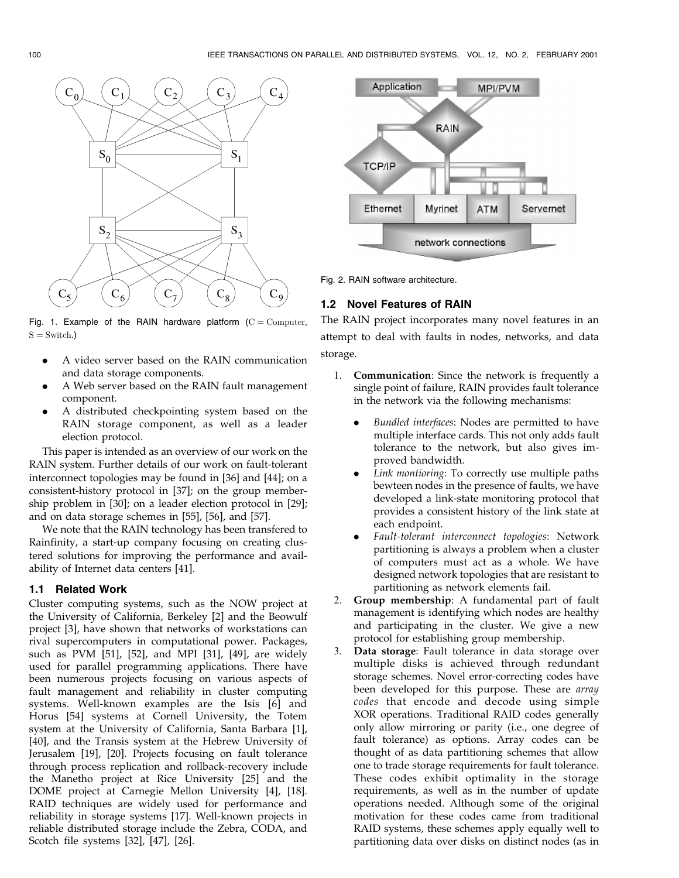

Fig. 1. Example of the RAIN hardware platform  $(C = Computer,$  $S =$  Switch.)

- . A video server based on the RAIN communication and data storage components.
- . A Web server based on the RAIN fault management component.
- . A distributed checkpointing system based on the RAIN storage component, as well as a leader election protocol.

This paper is intended as an overview of our work on the RAIN system. Further details of our work on fault-tolerant interconnect topologies may be found in [36] and [44]; on a consistent-history protocol in [37]; on the group membership problem in [30]; on a leader election protocol in [29]; and on data storage schemes in [55], [56], and [57].

We note that the RAIN technology has been transfered to Rainfinity, a start-up company focusing on creating clustered solutions for improving the performance and availability of Internet data centers [41].

# 1.1 Related Work

Cluster computing systems, such as the NOW project at the University of California, Berkeley [2] and the Beowulf project [3], have shown that networks of workstations can rival supercomputers in computational power. Packages, such as PVM [51], [52], and MPI [31], [49], are widely used for parallel programming applications. There have been numerous projects focusing on various aspects of fault management and reliability in cluster computing systems. Well-known examples are the Isis [6] and Horus [54] systems at Cornell University, the Totem system at the University of California, Santa Barbara [1], [40], and the Transis system at the Hebrew University of Jerusalem [19], [20]. Projects focusing on fault tolerance through process replication and rollback-recovery include the Manetho project at Rice University [25] and the DOME project at Carnegie Mellon University [4], [18]. RAID techniques are widely used for performance and reliability in storage systems [17]. Well-known projects in reliable distributed storage include the Zebra, CODA, and Scotch file systems [32], [47], [26].



Fig. 2. RAIN software architecture.

# 1.2 Novel Features of RAIN

The RAIN project incorporates many novel features in an attempt to deal with faults in nodes, networks, and data storage.

- 1. Communication: Since the network is frequently a single point of failure, RAIN provides fault tolerance in the network via the following mechanisms:
	- . Bundled interfaces: Nodes are permitted to have multiple interface cards. This not only adds fault tolerance to the network, but also gives improved bandwidth.
	- Link montioring: To correctly use multiple paths bewteen nodes in the presence of faults, we have developed a link-state monitoring protocol that provides a consistent history of the link state at each endpoint.
	- . Fault-tolerant interconnect topologies: Network partitioning is always a problem when a cluster of computers must act as a whole. We have designed network topologies that are resistant to partitioning as network elements fail.
- 2. Group membership: A fundamental part of fault management is identifying which nodes are healthy and participating in the cluster. We give a new protocol for establishing group membership.
- 3. Data storage: Fault tolerance in data storage over multiple disks is achieved through redundant storage schemes. Novel error-correcting codes have been developed for this purpose. These are array codes that encode and decode using simple XOR operations. Traditional RAID codes generally only allow mirroring or parity (i.e., one degree of fault tolerance) as options. Array codes can be thought of as data partitioning schemes that allow one to trade storage requirements for fault tolerance. These codes exhibit optimality in the storage requirements, as well as in the number of update operations needed. Although some of the original motivation for these codes came from traditional RAID systems, these schemes apply equally well to partitioning data over disks on distinct nodes (as in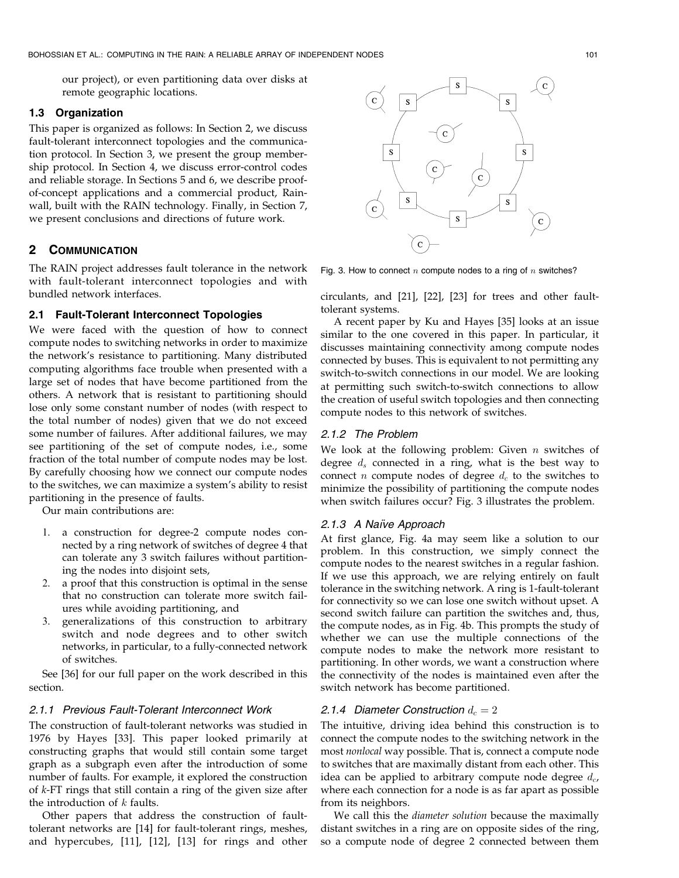our project), or even partitioning data over disks at remote geographic locations.

# 1.3 Organization

This paper is organized as follows: In Section 2, we discuss fault-tolerant interconnect topologies and the communication protocol. In Section 3, we present the group membership protocol. In Section 4, we discuss error-control codes and reliable storage. In Sections 5 and 6, we describe proofof-concept applications and a commercial product, Rainwall, built with the RAIN technology. Finally, in Section 7, we present conclusions and directions of future work.

# 2 COMMUNICATION

The RAIN project addresses fault tolerance in the network with fault-tolerant interconnect topologies and with bundled network interfaces.

# 2.1 Fault-Tolerant Interconnect Topologies

We were faced with the question of how to connect compute nodes to switching networks in order to maximize the network's resistance to partitioning. Many distributed computing algorithms face trouble when presented with a large set of nodes that have become partitioned from the others. A network that is resistant to partitioning should lose only some constant number of nodes (with respect to the total number of nodes) given that we do not exceed some number of failures. After additional failures, we may see partitioning of the set of compute nodes, i.e., some fraction of the total number of compute nodes may be lost. By carefully choosing how we connect our compute nodes to the switches, we can maximize a system's ability to resist partitioning in the presence of faults.

Our main contributions are:

- a construction for degree-2 compute nodes connected by a ring network of switches of degree 4 that can tolerate any 3 switch failures without partitioning the nodes into disjoint sets,
- 2. a proof that this construction is optimal in the sense that no construction can tolerate more switch failures while avoiding partitioning, and
- 3. generalizations of this construction to arbitrary switch and node degrees and to other switch networks, in particular, to a fully-connected network of switches.

See [36] for our full paper on the work described in this section.

## 2.1.1 Previous Fault-Tolerant Interconnect Work

The construction of fault-tolerant networks was studied in 1976 by Hayes [33]. This paper looked primarily at constructing graphs that would still contain some target graph as a subgraph even after the introduction of some number of faults. For example, it explored the construction of k-FT rings that still contain a ring of the given size after the introduction of  $k$  faults.

Other papers that address the construction of faulttolerant networks are [14] for fault-tolerant rings, meshes, and hypercubes, [11], [12], [13] for rings and other



Fig. 3. How to connect  $n$  compute nodes to a ring of  $n$  switches?

circulants, and [21], [22], [23] for trees and other faulttolerant systems.

A recent paper by Ku and Hayes [35] looks at an issue similar to the one covered in this paper. In particular, it discusses maintaining connectivity among compute nodes connected by buses. This is equivalent to not permitting any switch-to-switch connections in our model. We are looking at permitting such switch-to-switch connections to allow the creation of useful switch topologies and then connecting compute nodes to this network of switches.

# 2.1.2 The Problem

We look at the following problem: Given  $n$  switches of degree  $d_s$  connected in a ring, what is the best way to connect  $n$  compute nodes of degree  $d_c$  to the switches to minimize the possibility of partitioning the compute nodes when switch failures occur? Fig. 3 illustrates the problem.

## 2.1.3 A Naïve Approach

At first glance, Fig. 4a may seem like a solution to our problem. In this construction, we simply connect the compute nodes to the nearest switches in a regular fashion. If we use this approach, we are relying entirely on fault tolerance in the switching network. A ring is 1-fault-tolerant for connectivity so we can lose one switch without upset. A second switch failure can partition the switches and, thus, the compute nodes, as in Fig. 4b. This prompts the study of whether we can use the multiple connections of the compute nodes to make the network more resistant to partitioning. In other words, we want a construction where the connectivity of the nodes is maintained even after the switch network has become partitioned.

#### 2.1.4 Diameter Construction  $d_c = 2$

The intuitive, driving idea behind this construction is to connect the compute nodes to the switching network in the most nonlocal way possible. That is, connect a compute node to switches that are maximally distant from each other. This idea can be applied to arbitrary compute node degree  $d_{c}$ , where each connection for a node is as far apart as possible from its neighbors.

We call this the *diameter solution* because the maximally distant switches in a ring are on opposite sides of the ring, so a compute node of degree 2 connected between them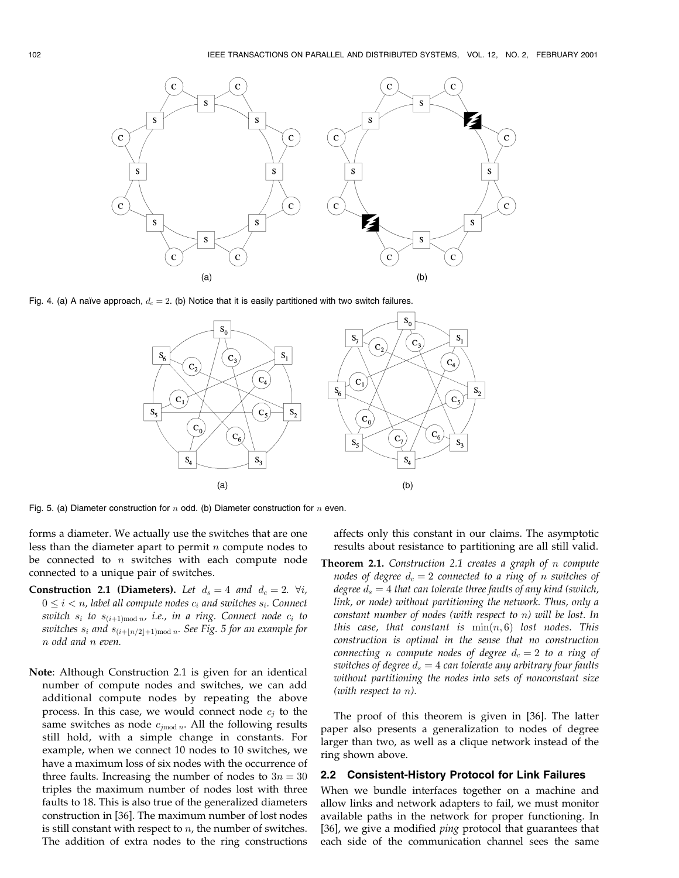

Fig. 4. (a) A naïve approach,  $d_c = 2$ . (b) Notice that it is easily partitioned with two switch failures.



Fig. 5. (a) Diameter construction for  $n$  odd. (b) Diameter construction for  $n$  even.

forms a diameter. We actually use the switches that are one less than the diameter apart to permit  $n$  compute nodes to be connected to  $n$  switches with each compute node connected to a unique pair of switches.

- **Construction 2.1 (Diameters).** Let  $d_s = 4$  and  $d_c = 2$ .  $\forall i$ ,  $0 \leq i < n$ , label all compute nodes  $c_i$  and switches  $s_i$ . Connect switch  $s_i$  to  $s_{(i+1) \text{ mod } n}$ , i.e., in a ring. Connect node  $c_i$  to switches  $s_i$  and  $s_{(i+|n/2|+1) \text{mod } n}$ . See Fig. 5 for an example for n odd and n even.
- Note: Although Construction 2.1 is given for an identical number of compute nodes and switches, we can add additional compute nodes by repeating the above process. In this case, we would connect node  $c_i$  to the same switches as node  $c_{j \text{mod } n}$ . All the following results still hold, with a simple change in constants. For example, when we connect 10 nodes to 10 switches, we have a maximum loss of six nodes with the occurrence of three faults. Increasing the number of nodes to  $3n = 30$ triples the maximum number of nodes lost with three faults to 18. This is also true of the generalized diameters construction in [36]. The maximum number of lost nodes is still constant with respect to  $n$ , the number of switches. The addition of extra nodes to the ring constructions

affects only this constant in our claims. The asymptotic results about resistance to partitioning are all still valid.

**Theorem 2.1.** Construction 2.1 creates a graph of  $n$  compute nodes of degree  $d_c = 2$  connected to a ring of n switches of degree  $d_s = 4$  that can tolerate three faults of any kind (switch, link, or node) without partitioning the network. Thus, only a constant number of nodes (with respect to n) will be lost. In this case, that constant is  $\min(n, 6)$  lost nodes. This construction is optimal in the sense that no construction connecting n compute nodes of degree  $d_c = 2$  to a ring of switches of degree  $d_s = 4$  can tolerate any arbitrary four faults without partitioning the nodes into sets of nonconstant size (with respect to n).

The proof of this theorem is given in [36]. The latter paper also presents a generalization to nodes of degree larger than two, as well as a clique network instead of the ring shown above.

# 2.2 Consistent-History Protocol for Link Failures

When we bundle interfaces together on a machine and allow links and network adapters to fail, we must monitor available paths in the network for proper functioning. In [36], we give a modified *ping* protocol that guarantees that each side of the communication channel sees the same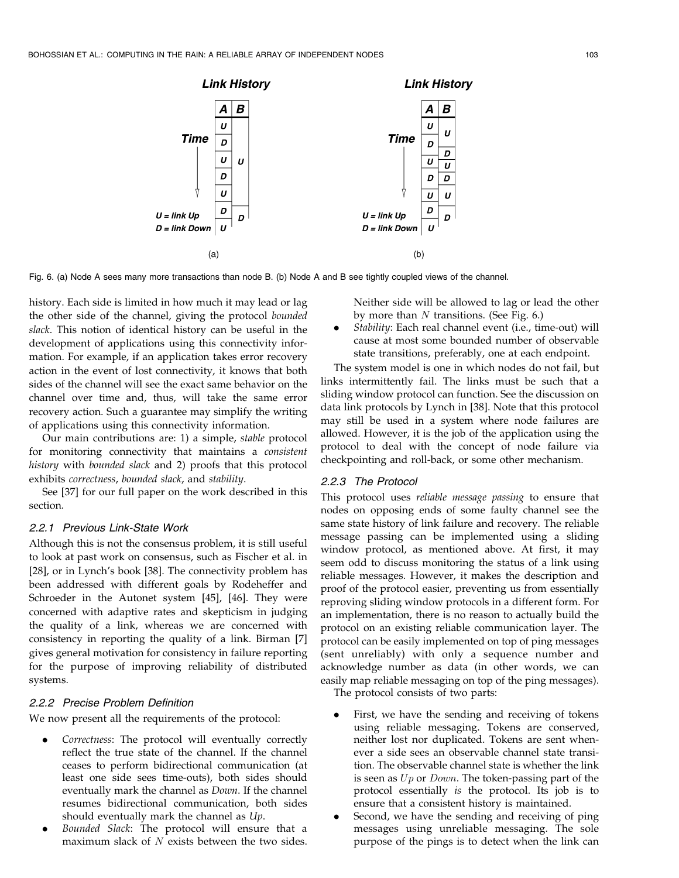

Fig. 6. (a) Node A sees many more transactions than node B. (b) Node A and B see tightly coupled views of the channel.

history. Each side is limited in how much it may lead or lag the other side of the channel, giving the protocol bounded slack. This notion of identical history can be useful in the development of applications using this connectivity information. For example, if an application takes error recovery action in the event of lost connectivity, it knows that both sides of the channel will see the exact same behavior on the channel over time and, thus, will take the same error recovery action. Such a guarantee may simplify the writing of applications using this connectivity information.

Our main contributions are: 1) a simple, stable protocol for monitoring connectivity that maintains a consistent history with bounded slack and 2) proofs that this protocol exhibits correctness, bounded slack, and stability.

See [37] for our full paper on the work described in this section.

## 2.2.1 Previous Link-State Work

Although this is not the consensus problem, it is still useful to look at past work on consensus, such as Fischer et al. in [28], or in Lynch's book [38]. The connectivity problem has been addressed with different goals by Rodeheffer and Schroeder in the Autonet system [45], [46]. They were concerned with adaptive rates and skepticism in judging the quality of a link, whereas we are concerned with consistency in reporting the quality of a link. Birman [7] gives general motivation for consistency in failure reporting for the purpose of improving reliability of distributed systems.

#### 2.2.2 Precise Problem Definition

We now present all the requirements of the protocol:

- . Correctness: The protocol will eventually correctly reflect the true state of the channel. If the channel ceases to perform bidirectional communication (at least one side sees time-outs), both sides should eventually mark the channel as Down. If the channel resumes bidirectional communication, both sides should eventually mark the channel as Up.
- . Bounded Slack: The protocol will ensure that a maximum slack of  $N$  exists between the two sides.

Neither side will be allowed to lag or lead the other by more than  $N$  transitions. (See Fig. 6.)

. Stability: Each real channel event (i.e., time-out) will cause at most some bounded number of observable state transitions, preferably, one at each endpoint.

The system model is one in which nodes do not fail, but links intermittently fail. The links must be such that a sliding window protocol can function. See the discussion on data link protocols by Lynch in [38]. Note that this protocol may still be used in a system where node failures are allowed. However, it is the job of the application using the protocol to deal with the concept of node failure via checkpointing and roll-back, or some other mechanism.

#### 2.2.3 The Protocol

This protocol uses reliable message passing to ensure that nodes on opposing ends of some faulty channel see the same state history of link failure and recovery. The reliable message passing can be implemented using a sliding window protocol, as mentioned above. At first, it may seem odd to discuss monitoring the status of a link using reliable messages. However, it makes the description and proof of the protocol easier, preventing us from essentially reproving sliding window protocols in a different form. For an implementation, there is no reason to actually build the protocol on an existing reliable communication layer. The protocol can be easily implemented on top of ping messages (sent unreliably) with only a sequence number and acknowledge number as data (in other words, we can easily map reliable messaging on top of the ping messages).

The protocol consists of two parts:

- . First, we have the sending and receiving of tokens using reliable messaging. Tokens are conserved, neither lost nor duplicated. Tokens are sent whenever a side sees an observable channel state transition. The observable channel state is whether the link is seen as  $Up$  or  $Down$ . The token-passing part of the protocol essentially is the protocol. Its job is to ensure that a consistent history is maintained.
- Second, we have the sending and receiving of ping messages using unreliable messaging. The sole purpose of the pings is to detect when the link can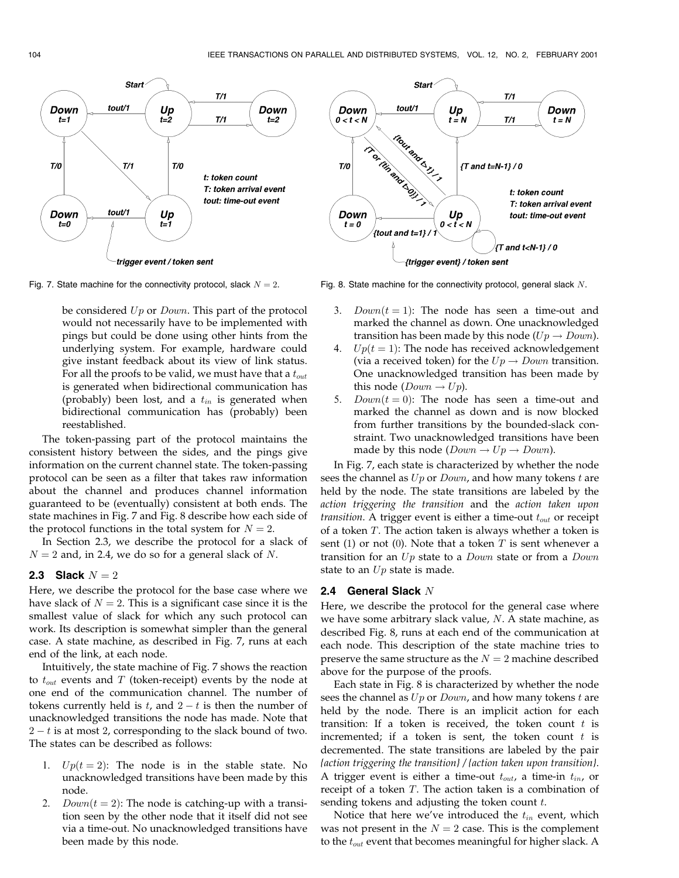

be considered  $Up$  or  $Down$ . This part of the protocol would not necessarily have to be implemented with pings but could be done using other hints from the underlying system. For example, hardware could give instant feedback about its view of link status. For all the proofs to be valid, we must have that a  $t_{out}$ is generated when bidirectional communication has (probably) been lost, and a  $t_{in}$  is generated when bidirectional communication has (probably) been reestablished.

The token-passing part of the protocol maintains the consistent history between the sides, and the pings give information on the current channel state. The token-passing protocol can be seen as a filter that takes raw information about the channel and produces channel information guaranteed to be (eventually) consistent at both ends. The state machines in Fig. 7 and Fig. 8 describe how each side of the protocol functions in the total system for  $N = 2$ .

In Section 2.3, we describe the protocol for a slack of  $N = 2$  and, in 2.4, we do so for a general slack of N.

#### 2.3 Slack  $N = 2$

Here, we describe the protocol for the base case where we have slack of  $N = 2$ . This is a significant case since it is the smallest value of slack for which any such protocol can work. Its description is somewhat simpler than the general case. A state machine, as described in Fig. 7, runs at each end of the link, at each node.

Intuitively, the state machine of Fig. 7 shows the reaction to  $t_{out}$  events and  $T$  (token-receipt) events by the node at one end of the communication channel. The number of tokens currently held is  $t$ , and  $2 - t$  is then the number of unacknowledged transitions the node has made. Note that  $2 - t$  is at most 2, corresponding to the slack bound of two. The states can be described as follows:

- 1.  $Up(t = 2)$ : The node is in the stable state. No unacknowledged transitions have been made by this node.
- 2.  $Down(t = 2)$ : The node is catching-up with a transition seen by the other node that it itself did not see via a time-out. No unacknowledged transitions have been made by this node.



Fig. 7. State machine for the connectivity protocol, slack  $N = 2$ . Fig. 8. State machine for the connectivity protocol, general slack N.

- 3.  $Down(t = 1)$ : The node has seen a time-out and marked the channel as down. One unacknowledged transition has been made by this node ( $Up \rightarrow Down$ ).
- $Up(t = 1)$ : The node has received acknowledgement (via a received token) for the  $Up \rightarrow Down$  transition. One unacknowledged transition has been made by this node ( $Down \rightarrow Up$ ).
- 5.  $Down(t = 0)$ : The node has seen a time-out and marked the channel as down and is now blocked from further transitions by the bounded-slack constraint. Two unacknowledged transitions have been made by this node  $(Down \rightarrow Up \rightarrow Down)$ .

In Fig. 7, each state is characterized by whether the node sees the channel as  $Up$  or  $Down$ , and how many tokens  $t$  are held by the node. The state transitions are labeled by the action triggering the transition and the action taken upon transition. A trigger event is either a time-out  $t_{out}$  or receipt of a token  $T$ . The action taken is always whether a token is sent (1) or not (0). Note that a token  $T$  is sent whenever a transition for an  $Up$  state to a  $Down$  state or from a  $Down$ state to an  $Up$  state is made.

#### 2.4 General Slack  $N$

Here, we describe the protocol for the general case where we have some arbitrary slack value, N. A state machine, as described Fig. 8, runs at each end of the communication at each node. This description of the state machine tries to preserve the same structure as the  $N = 2$  machine described above for the purpose of the proofs.

Each state in Fig. 8 is characterized by whether the node sees the channel as  $Up$  or  $Down$ , and how many tokens  $t$  are held by the node. There is an implicit action for each transition: If a token is received, the token count  $t$  is incremented; if a token is sent, the token count  $t$  is decremented. The state transitions are labeled by the pair {action triggering the transition} / {action taken upon transition}. A trigger event is either a time-out  $t_{out}$ , a time-in  $t_{in}$ , or receipt of a token T. The action taken is a combination of sending tokens and adjusting the token count  $t$ .

Notice that here we've introduced the  $t_{in}$  event, which was not present in the  $N = 2$  case. This is the complement to the  $t_{out}$  event that becomes meaningful for higher slack. A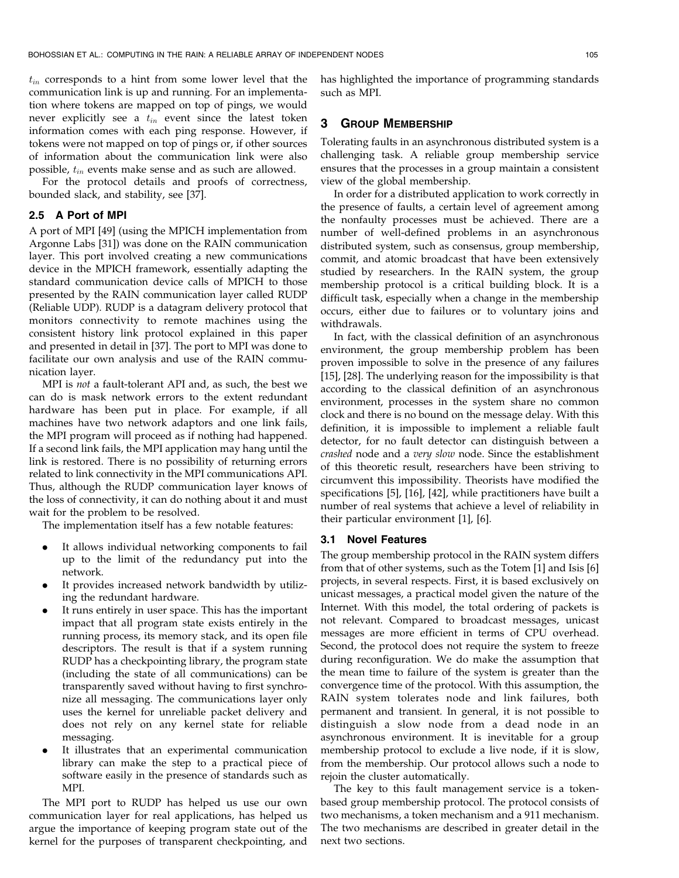$t_{in}$  corresponds to a hint from some lower level that the communication link is up and running. For an implementation where tokens are mapped on top of pings, we would never explicitly see a  $t_{in}$  event since the latest token information comes with each ping response. However, if tokens were not mapped on top of pings or, if other sources of information about the communication link were also possible,  $t_{in}$  events make sense and as such are allowed.

For the protocol details and proofs of correctness, bounded slack, and stability, see [37].

## 2.5 A Port of MPI

A port of MPI [49] (using the MPICH implementation from Argonne Labs [31]) was done on the RAIN communication layer. This port involved creating a new communications device in the MPICH framework, essentially adapting the standard communication device calls of MPICH to those presented by the RAIN communication layer called RUDP (Reliable UDP). RUDP is a datagram delivery protocol that monitors connectivity to remote machines using the consistent history link protocol explained in this paper and presented in detail in [37]. The port to MPI was done to facilitate our own analysis and use of the RAIN communication layer.

MPI is not a fault-tolerant API and, as such, the best we can do is mask network errors to the extent redundant hardware has been put in place. For example, if all machines have two network adaptors and one link fails, the MPI program will proceed as if nothing had happened. If a second link fails, the MPI application may hang until the link is restored. There is no possibility of returning errors related to link connectivity in the MPI communications API. Thus, although the RUDP communication layer knows of the loss of connectivity, it can do nothing about it and must wait for the problem to be resolved.

The implementation itself has a few notable features:

- It allows individual networking components to fail up to the limit of the redundancy put into the network.
- . It provides increased network bandwidth by utilizing the redundant hardware.
- . It runs entirely in user space. This has the important impact that all program state exists entirely in the running process, its memory stack, and its open file descriptors. The result is that if a system running RUDP has a checkpointing library, the program state (including the state of all communications) can be transparently saved without having to first synchronize all messaging. The communications layer only uses the kernel for unreliable packet delivery and does not rely on any kernel state for reliable messaging.
- . It illustrates that an experimental communication library can make the step to a practical piece of software easily in the presence of standards such as MPI.

The MPI port to RUDP has helped us use our own communication layer for real applications, has helped us argue the importance of keeping program state out of the kernel for the purposes of transparent checkpointing, and

has highlighted the importance of programming standards such as MPI.

# 3 GROUP MEMBERSHIP

Tolerating faults in an asynchronous distributed system is a challenging task. A reliable group membership service ensures that the processes in a group maintain a consistent view of the global membership.

In order for a distributed application to work correctly in the presence of faults, a certain level of agreement among the nonfaulty processes must be achieved. There are a number of well-defined problems in an asynchronous distributed system, such as consensus, group membership, commit, and atomic broadcast that have been extensively studied by researchers. In the RAIN system, the group membership protocol is a critical building block. It is a difficult task, especially when a change in the membership occurs, either due to failures or to voluntary joins and withdrawals.

In fact, with the classical definition of an asynchronous environment, the group membership problem has been proven impossible to solve in the presence of any failures [15], [28]. The underlying reason for the impossibility is that according to the classical definition of an asynchronous environment, processes in the system share no common clock and there is no bound on the message delay. With this definition, it is impossible to implement a reliable fault detector, for no fault detector can distinguish between a crashed node and a very slow node. Since the establishment of this theoretic result, researchers have been striving to circumvent this impossibility. Theorists have modified the specifications [5], [16], [42], while practitioners have built a number of real systems that achieve a level of reliability in their particular environment [1], [6].

#### 3.1 Novel Features

The group membership protocol in the RAIN system differs from that of other systems, such as the Totem [1] and Isis [6] projects, in several respects. First, it is based exclusively on unicast messages, a practical model given the nature of the Internet. With this model, the total ordering of packets is not relevant. Compared to broadcast messages, unicast messages are more efficient in terms of CPU overhead. Second, the protocol does not require the system to freeze during reconfiguration. We do make the assumption that the mean time to failure of the system is greater than the convergence time of the protocol. With this assumption, the RAIN system tolerates node and link failures, both permanent and transient. In general, it is not possible to distinguish a slow node from a dead node in an asynchronous environment. It is inevitable for a group membership protocol to exclude a live node, if it is slow, from the membership. Our protocol allows such a node to rejoin the cluster automatically.

The key to this fault management service is a tokenbased group membership protocol. The protocol consists of two mechanisms, a token mechanism and a 911 mechanism. The two mechanisms are described in greater detail in the next two sections.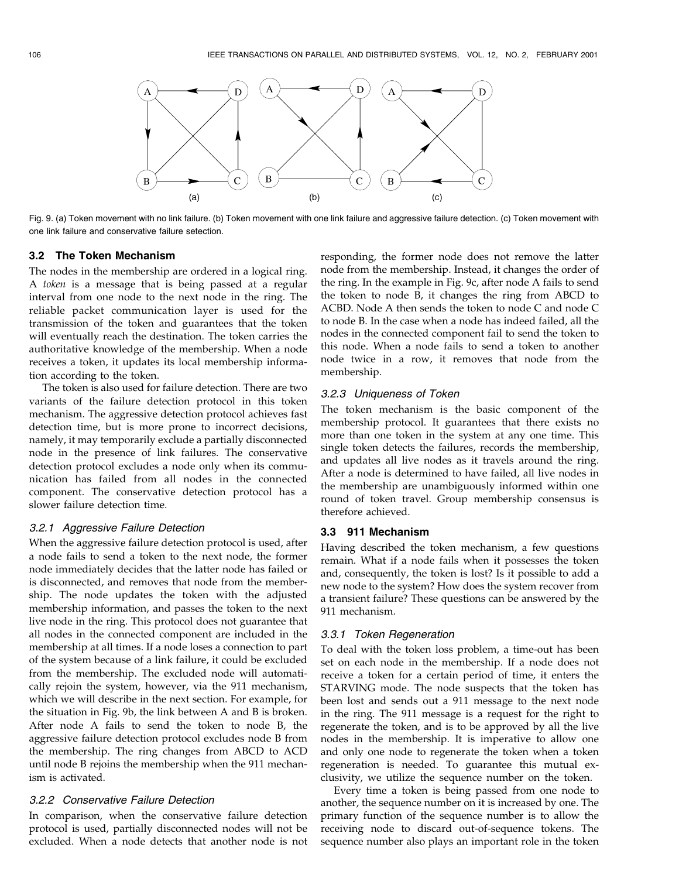

Fig. 9. (a) Token movement with no link failure. (b) Token movement with one link failure and aggressive failure detection. (c) Token movement with one link failure and conservative failure setection.

# 3.2 The Token Mechanism

The nodes in the membership are ordered in a logical ring. A token is a message that is being passed at a regular interval from one node to the next node in the ring. The reliable packet communication layer is used for the transmission of the token and guarantees that the token will eventually reach the destination. The token carries the authoritative knowledge of the membership. When a node receives a token, it updates its local membership information according to the token.

The token is also used for failure detection. There are two variants of the failure detection protocol in this token mechanism. The aggressive detection protocol achieves fast detection time, but is more prone to incorrect decisions, namely, it may temporarily exclude a partially disconnected node in the presence of link failures. The conservative detection protocol excludes a node only when its communication has failed from all nodes in the connected component. The conservative detection protocol has a slower failure detection time.

#### 3.2.1 Aggressive Failure Detection

When the aggressive failure detection protocol is used, after a node fails to send a token to the next node, the former node immediately decides that the latter node has failed or is disconnected, and removes that node from the membership. The node updates the token with the adjusted membership information, and passes the token to the next live node in the ring. This protocol does not guarantee that all nodes in the connected component are included in the membership at all times. If a node loses a connection to part of the system because of a link failure, it could be excluded from the membership. The excluded node will automatically rejoin the system, however, via the 911 mechanism, which we will describe in the next section. For example, for the situation in Fig. 9b, the link between A and B is broken. After node A fails to send the token to node B, the aggressive failure detection protocol excludes node B from the membership. The ring changes from ABCD to ACD until node B rejoins the membership when the 911 mechanism is activated.

# 3.2.2 Conservative Failure Detection

In comparison, when the conservative failure detection protocol is used, partially disconnected nodes will not be excluded. When a node detects that another node is not responding, the former node does not remove the latter node from the membership. Instead, it changes the order of the ring. In the example in Fig. 9c, after node A fails to send the token to node B, it changes the ring from ABCD to ACBD. Node A then sends the token to node C and node C to node B. In the case when a node has indeed failed, all the nodes in the connected component fail to send the token to this node. When a node fails to send a token to another node twice in a row, it removes that node from the membership.

#### 3.2.3 Uniqueness of Token

The token mechanism is the basic component of the membership protocol. It guarantees that there exists no more than one token in the system at any one time. This single token detects the failures, records the membership, and updates all live nodes as it travels around the ring. After a node is determined to have failed, all live nodes in the membership are unambiguously informed within one round of token travel. Group membership consensus is therefore achieved.

## 3.3 911 Mechanism

Having described the token mechanism, a few questions remain. What if a node fails when it possesses the token and, consequently, the token is lost? Is it possible to add a new node to the system? How does the system recover from a transient failure? These questions can be answered by the 911 mechanism.

#### 3.3.1 Token Regeneration

To deal with the token loss problem, a time-out has been set on each node in the membership. If a node does not receive a token for a certain period of time, it enters the STARVING mode. The node suspects that the token has been lost and sends out a 911 message to the next node in the ring. The 911 message is a request for the right to regenerate the token, and is to be approved by all the live nodes in the membership. It is imperative to allow one and only one node to regenerate the token when a token regeneration is needed. To guarantee this mutual exclusivity, we utilize the sequence number on the token.

Every time a token is being passed from one node to another, the sequence number on it is increased by one. The primary function of the sequence number is to allow the receiving node to discard out-of-sequence tokens. The sequence number also plays an important role in the token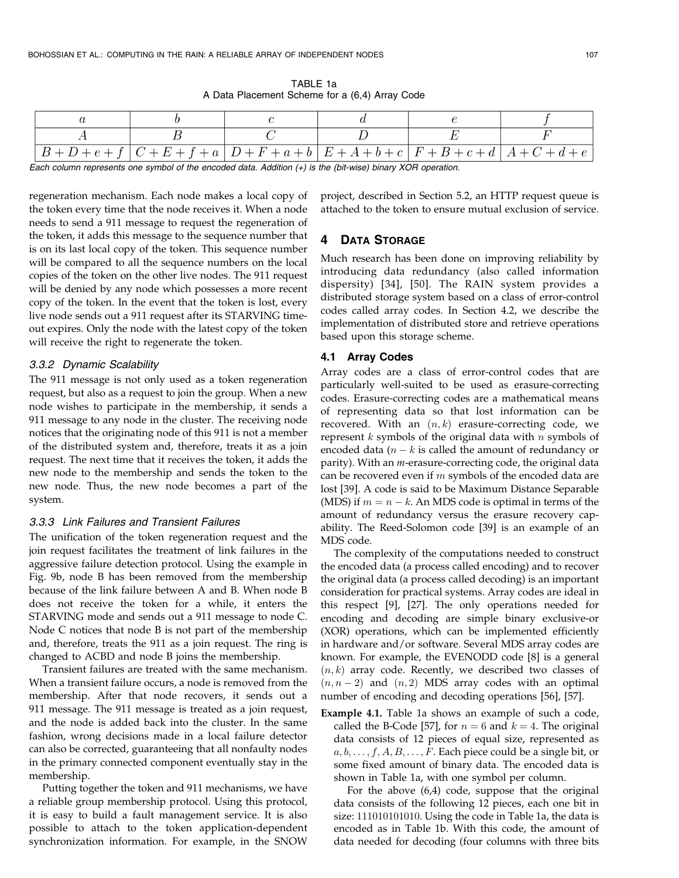TABLE 1a A Data Placement Scheme for a (6,4) Array Code

| $ B + D + e + f C + E + f + a D + F + a + b E + A + b + c F + B + c + d A + C + d + e $ |  |  |  |
|-----------------------------------------------------------------------------------------|--|--|--|

Each column represents one symbol of the encoded data. Addition (+) is the (bit-wise) binary XOR operation.

regeneration mechanism. Each node makes a local copy of the token every time that the node receives it. When a node needs to send a 911 message to request the regeneration of the token, it adds this message to the sequence number that is on its last local copy of the token. This sequence number will be compared to all the sequence numbers on the local copies of the token on the other live nodes. The 911 request will be denied by any node which possesses a more recent copy of the token. In the event that the token is lost, every live node sends out a 911 request after its STARVING timeout expires. Only the node with the latest copy of the token will receive the right to regenerate the token.

## 3.3.2 Dynamic Scalability

The 911 message is not only used as a token regeneration request, but also as a request to join the group. When a new node wishes to participate in the membership, it sends a 911 message to any node in the cluster. The receiving node notices that the originating node of this 911 is not a member of the distributed system and, therefore, treats it as a join request. The next time that it receives the token, it adds the new node to the membership and sends the token to the new node. Thus, the new node becomes a part of the system.

#### 3.3.3 Link Failures and Transient Failures

The unification of the token regeneration request and the join request facilitates the treatment of link failures in the aggressive failure detection protocol. Using the example in Fig. 9b, node B has been removed from the membership because of the link failure between A and B. When node B does not receive the token for a while, it enters the STARVING mode and sends out a 911 message to node C. Node C notices that node B is not part of the membership and, therefore, treats the 911 as a join request. The ring is changed to ACBD and node B joins the membership.

Transient failures are treated with the same mechanism. When a transient failure occurs, a node is removed from the membership. After that node recovers, it sends out a 911 message. The 911 message is treated as a join request, and the node is added back into the cluster. In the same fashion, wrong decisions made in a local failure detector can also be corrected, guaranteeing that all nonfaulty nodes in the primary connected component eventually stay in the membership.

Putting together the token and 911 mechanisms, we have a reliable group membership protocol. Using this protocol, it is easy to build a fault management service. It is also possible to attach to the token application-dependent synchronization information. For example, in the SNOW

project, described in Section 5.2, an HTTP request queue is attached to the token to ensure mutual exclusion of service.

# 4 DATA STORAGE

Much research has been done on improving reliability by introducing data redundancy (also called information dispersity) [34], [50]. The RAIN system provides a distributed storage system based on a class of error-control codes called array codes. In Section 4.2, we describe the implementation of distributed store and retrieve operations based upon this storage scheme.

## 4.1 Array Codes

Array codes are a class of error-control codes that are particularly well-suited to be used as erasure-correcting codes. Erasure-correcting codes are a mathematical means of representing data so that lost information can be recovered. With an  $(n, k)$  erasure-correcting code, we represent  $k$  symbols of the original data with  $n$  symbols of encoded data  $(n - k)$  is called the amount of redundancy or parity). With an *m*-erasure-correcting code, the original data can be recovered even if  $m$  symbols of the encoded data are lost [39]. A code is said to be Maximum Distance Separable (MDS) if  $m = n - k$ . An MDS code is optimal in terms of the amount of redundancy versus the erasure recovery capability. The Reed-Solomon code [39] is an example of an MDS code.

The complexity of the computations needed to construct the encoded data (a process called encoding) and to recover the original data (a process called decoding) is an important consideration for practical systems. Array codes are ideal in this respect [9], [27]. The only operations needed for encoding and decoding are simple binary exclusive-or (XOR) operations, which can be implemented efficiently in hardware and/or software. Several MDS array codes are known. For example, the EVENODD code [8] is a general  $(n, k)$  array code. Recently, we described two classes of  $(n, n - 2)$  and  $(n, 2)$  MDS array codes with an optimal number of encoding and decoding operations [56], [57].

Example 4.1. Table 1a shows an example of such a code, called the B-Code [57], for  $n = 6$  and  $k = 4$ . The original data consists of 12 pieces of equal size, represented as  $a, b, \ldots, f, A, B, \ldots, F$ . Each piece could be a single bit, or some fixed amount of binary data. The encoded data is shown in Table 1a, with one symbol per column.

For the above (6,4) code, suppose that the original data consists of the following 12 pieces, each one bit in size: 111010101010. Using the code in Table 1a, the data is encoded as in Table 1b. With this code, the amount of data needed for decoding (four columns with three bits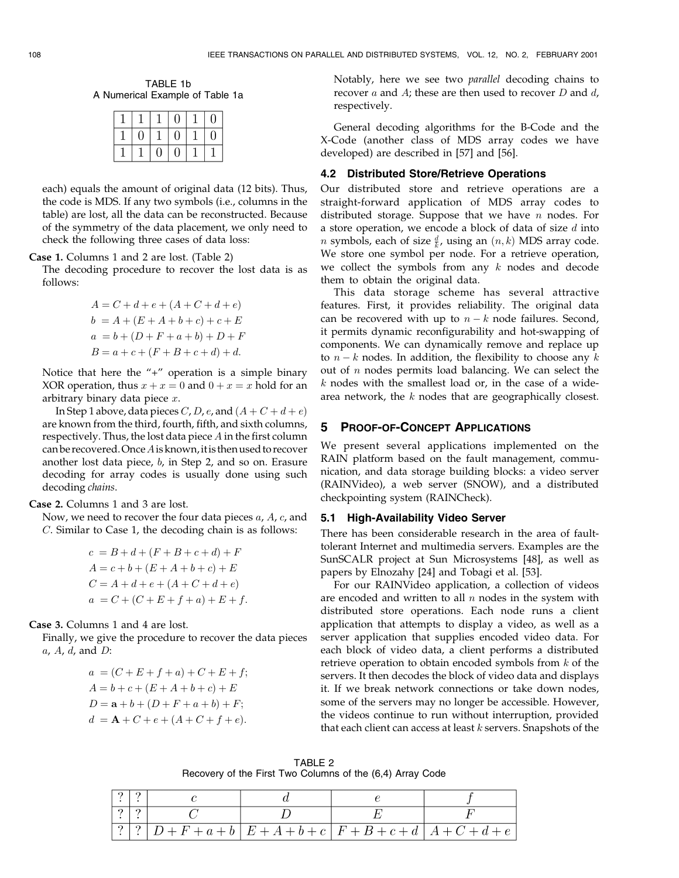TABLE 1b A Numerical Example of Table 1a

|  |   | 0        | O |
|--|---|----------|---|
|  |   | $\theta$ | U |
|  | O | $\theta$ |   |

each) equals the amount of original data (12 bits). Thus, the code is MDS. If any two symbols (i.e., columns in the table) are lost, all the data can be reconstructed. Because of the symmetry of the data placement, we only need to check the following three cases of data loss:

## Case 1. Columns 1 and 2 are lost. (Table 2)

The decoding procedure to recover the lost data is as follows:

$$
A = C + d + e + (A + C + d + e)
$$
  
\n
$$
b = A + (E + A + b + c) + c + E
$$
  
\n
$$
a = b + (D + F + a + b) + D + F
$$
  
\n
$$
B = a + c + (F + B + c + d) + d.
$$

Notice that here the  $4 -$  operation is a simple binary XOR operation, thus  $x + x = 0$  and  $0 + x = x$  hold for an arbitrary binary data piece x.

In Step 1 above, data pieces C, D, e, and  $(A + C + d + e)$ are known from the third, fourth, fifth, and sixth columns, respectively. Thus, the lost data piece A in the first column can be recovered. Once  $A$  is known, it is then used to recover another lost data piece, b, in Step 2, and so on. Erasure decoding for array codes is usually done using such decoding chains.

Case 2. Columns 1 and 3 are lost.

Now, we need to recover the four data pieces a, A, c, and C. Similar to Case 1, the decoding chain is as follows:

$$
c = B + d + (F + B + c + d) + F
$$
  
\n
$$
A = c + b + (E + A + b + c) + E
$$
  
\n
$$
C = A + d + e + (A + C + d + e)
$$
  
\n
$$
a = C + (C + E + f + a) + E + f.
$$

## Case 3. Columns 1 and 4 are lost.

Finally, we give the procedure to recover the data pieces  $a, A, d,$  and  $D$ :

$$
a = (C + E + f + a) + C + E + f;
$$
  
\n
$$
A = b + c + (E + A + b + c) + E
$$
  
\n
$$
D = \mathbf{a} + b + (D + F + a + b) + F;
$$
  
\n
$$
d = \mathbf{A} + C + e + (A + C + f + e).
$$

Notably, here we see two parallel decoding chains to recover  $a$  and  $A$ ; these are then used to recover  $D$  and  $d$ , respectively.

General decoding algorithms for the B-Code and the X-Code (another class of MDS array codes we have developed) are described in [57] and [56].

## 4.2 Distributed Store/Retrieve Operations

Our distributed store and retrieve operations are a straight-forward application of MDS array codes to distributed storage. Suppose that we have  $n$  nodes. For a store operation, we encode a block of data of size  $d$  into *n* symbols, each of size  $\frac{d}{k}$ , using an  $(n, k)$  MDS array code. We store one symbol per node. For a retrieve operation, we collect the symbols from any  $k$  nodes and decode them to obtain the original data.

This data storage scheme has several attractive features. First, it provides reliability. The original data can be recovered with up to  $n - k$  node failures. Second, it permits dynamic reconfigurability and hot-swapping of components. We can dynamically remove and replace up to  $n - k$  nodes. In addition, the flexibility to choose any k out of  $n$  nodes permits load balancing. We can select the  $k$  nodes with the smallest load or, in the case of a widearea network, the  $k$  nodes that are geographically closest.

# 5 PROOF-OF-CONCEPT APPLICATIONS

We present several applications implemented on the RAIN platform based on the fault management, communication, and data storage building blocks: a video server (RAINVideo), a web server (SNOW), and a distributed checkpointing system (RAINCheck).

# 5.1 High-Availability Video Server

There has been considerable research in the area of faulttolerant Internet and multimedia servers. Examples are the SunSCALR project at Sun Microsystems [48], as well as papers by Elnozahy [24] and Tobagi et al. [53].

For our RAINVideo application, a collection of videos are encoded and written to all  $n$  nodes in the system with distributed store operations. Each node runs a client application that attempts to display a video, as well as a server application that supplies encoded video data. For each block of video data, a client performs a distributed retrieve operation to obtain encoded symbols from  $k$  of the servers. It then decodes the block of video data and displays it. If we break network connections or take down nodes, some of the servers may no longer be accessible. However, the videos continue to run without interruption, provided that each client can access at least  $k$  servers. Snapshots of the

TABLE 2 Recovery of the First Two Columns of the (6,4) Array Code

|  |  | $\boxed{? \mid ? \mid D+ F+a+b \mid E+A+b+c \mid F+B+c+d \mid A+C+d+e \mid }$ |
|--|--|-------------------------------------------------------------------------------|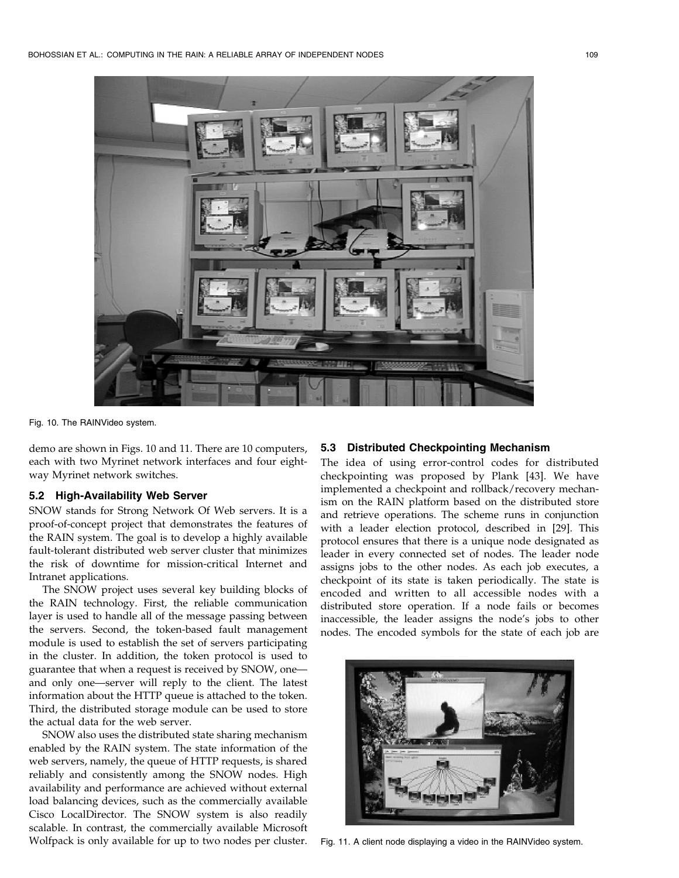

Fig. 10. The RAINVideo system.

demo are shown in Figs. 10 and 11. There are 10 computers, each with two Myrinet network interfaces and four eightway Myrinet network switches.

#### 5.2 High-Availability Web Server

SNOW stands for Strong Network Of Web servers. It is a proof-of-concept project that demonstrates the features of the RAIN system. The goal is to develop a highly available fault-tolerant distributed web server cluster that minimizes the risk of downtime for mission-critical Internet and Intranet applications.

The SNOW project uses several key building blocks of the RAIN technology. First, the reliable communication layer is used to handle all of the message passing between the servers. Second, the token-based fault management module is used to establish the set of servers participating in the cluster. In addition, the token protocol is used to guarantee that when a request is received by SNOW, oneand only one—server will reply to the client. The latest information about the HTTP queue is attached to the token. Third, the distributed storage module can be used to store the actual data for the web server.

SNOW also uses the distributed state sharing mechanism enabled by the RAIN system. The state information of the web servers, namely, the queue of HTTP requests, is shared reliably and consistently among the SNOW nodes. High availability and performance are achieved without external load balancing devices, such as the commercially available Cisco LocalDirector. The SNOW system is also readily scalable. In contrast, the commercially available Microsoft Wolfpack is only available for up to two nodes per cluster.

#### 5.3 Distributed Checkpointing Mechanism

The idea of using error-control codes for distributed checkpointing was proposed by Plank [43]. We have implemented a checkpoint and rollback/recovery mechanism on the RAIN platform based on the distributed store and retrieve operations. The scheme runs in conjunction with a leader election protocol, described in [29]. This protocol ensures that there is a unique node designated as leader in every connected set of nodes. The leader node assigns jobs to the other nodes. As each job executes, a checkpoint of its state is taken periodically. The state is encoded and written to all accessible nodes with a distributed store operation. If a node fails or becomes inaccessible, the leader assigns the node's jobs to other nodes. The encoded symbols for the state of each job are



Fig. 11. A client node displaying a video in the RAINVideo system.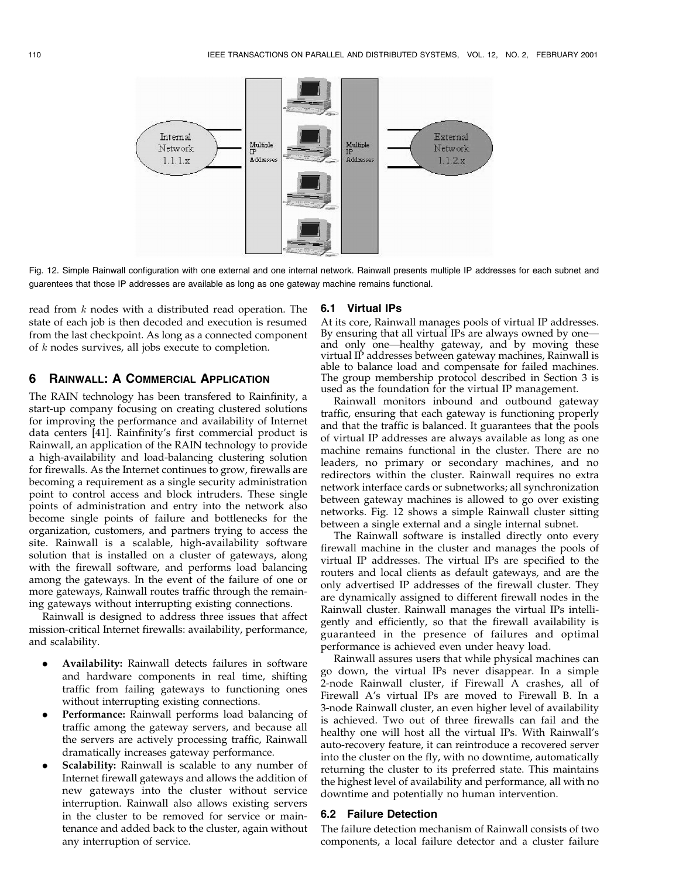

Fig. 12. Simple Rainwall configuration with one external and one internal network. Rainwall presents multiple IP addresses for each subnet and guarentees that those IP addresses are available as long as one gateway machine remains functional.

read from  $k$  nodes with a distributed read operation. The state of each job is then decoded and execution is resumed from the last checkpoint. As long as a connected component of k nodes survives, all jobs execute to completion.

# **6 RAINWALL: A COMMERCIAL APPLICATION**

The RAIN technology has been transfered to Rainfinity, a start-up company focusing on creating clustered solutions for improving the performance and availability of Internet data centers [41]. Rainfinity's first commercial product is Rainwall, an application of the RAIN technology to provide a high-availability and load-balancing clustering solution for firewalls. As the Internet continues to grow, firewalls are becoming a requirement as a single security administration point to control access and block intruders. These single points of administration and entry into the network also become single points of failure and bottlenecks for the organization, customers, and partners trying to access the site. Rainwall is a scalable, high-availability software solution that is installed on a cluster of gateways, along with the firewall software, and performs load balancing among the gateways. In the event of the failure of one or more gateways, Rainwall routes traffic through the remaining gateways without interrupting existing connections.

Rainwall is designed to address three issues that affect mission-critical Internet firewalls: availability, performance, and scalability.

- . Availability: Rainwall detects failures in software and hardware components in real time, shifting traffic from failing gateways to functioning ones without interrupting existing connections.
- . Performance: Rainwall performs load balancing of traffic among the gateway servers, and because all the servers are actively processing traffic, Rainwall dramatically increases gateway performance.
- Scalability: Rainwall is scalable to any number of Internet firewall gateways and allows the addition of new gateways into the cluster without service interruption. Rainwall also allows existing servers in the cluster to be removed for service or maintenance and added back to the cluster, again without any interruption of service.

#### 6.1 Virtual IPs

At its core, Rainwall manages pools of virtual IP addresses. By ensuring that all virtual IPs are always owned by one and only one—healthy gateway, and by moving these virtual IP addresses between gateway machines, Rainwall is able to balance load and compensate for failed machines. The group membership protocol described in Section 3 is used as the foundation for the virtual IP management.

Rainwall monitors inbound and outbound gateway traffic, ensuring that each gateway is functioning properly and that the traffic is balanced. It guarantees that the pools of virtual IP addresses are always available as long as one machine remains functional in the cluster. There are no leaders, no primary or secondary machines, and no redirectors within the cluster. Rainwall requires no extra network interface cards or subnetworks; all synchronization between gateway machines is allowed to go over existing networks. Fig. 12 shows a simple Rainwall cluster sitting between a single external and a single internal subnet.

The Rainwall software is installed directly onto every firewall machine in the cluster and manages the pools of virtual IP addresses. The virtual IPs are specified to the routers and local clients as default gateways, and are the only advertised IP addresses of the firewall cluster. They are dynamically assigned to different firewall nodes in the Rainwall cluster. Rainwall manages the virtual IPs intelligently and efficiently, so that the firewall availability is guaranteed in the presence of failures and optimal performance is achieved even under heavy load.

Rainwall assures users that while physical machines can go down, the virtual IPs never disappear. In a simple 2-node Rainwall cluster, if Firewall A crashes, all of Firewall A's virtual IPs are moved to Firewall B. In a 3-node Rainwall cluster, an even higher level of availability is achieved. Two out of three firewalls can fail and the healthy one will host all the virtual IPs. With Rainwall's auto-recovery feature, it can reintroduce a recovered server into the cluster on the fly, with no downtime, automatically returning the cluster to its preferred state. This maintains the highest level of availability and performance, all with no downtime and potentially no human intervention.

# 6.2 Failure Detection

The failure detection mechanism of Rainwall consists of two components, a local failure detector and a cluster failure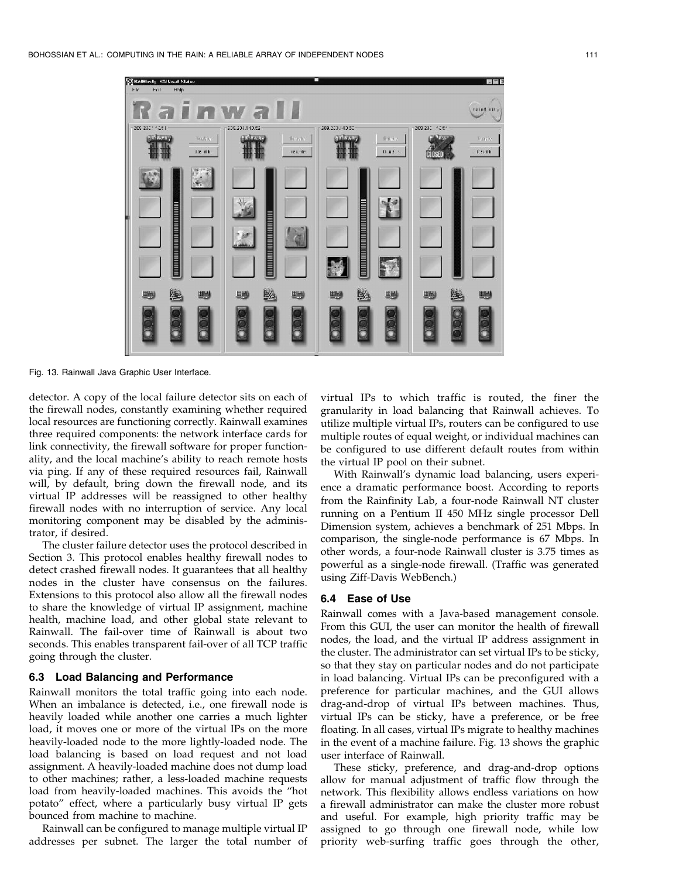

Fig. 13. Rainwall Java Graphic User Interface.

detector. A copy of the local failure detector sits on each of the firewall nodes, constantly examining whether required local resources are functioning correctly. Rainwall examines three required components: the network interface cards for link connectivity, the firewall software for proper functionality, and the local machine's ability to reach remote hosts via ping. If any of these required resources fail, Rainwall will, by default, bring down the firewall node, and its virtual IP addresses will be reassigned to other healthy firewall nodes with no interruption of service. Any local monitoring component may be disabled by the administrator, if desired.

The cluster failure detector uses the protocol described in Section 3. This protocol enables healthy firewall nodes to detect crashed firewall nodes. It guarantees that all healthy nodes in the cluster have consensus on the failures. Extensions to this protocol also allow all the firewall nodes to share the knowledge of virtual IP assignment, machine health, machine load, and other global state relevant to Rainwall. The fail-over time of Rainwall is about two seconds. This enables transparent fail-over of all TCP traffic going through the cluster.

#### 6.3 Load Balancing and Performance

Rainwall monitors the total traffic going into each node. When an imbalance is detected, i.e., one firewall node is heavily loaded while another one carries a much lighter load, it moves one or more of the virtual IPs on the more heavily-loaded node to the more lightly-loaded node. The load balancing is based on load request and not load assignment. A heavily-loaded machine does not dump load to other machines; rather, a less-loaded machine requests load from heavily-loaded machines. This avoids the "hot potato" effect, where a particularly busy virtual IP gets bounced from machine to machine.

Rainwall can be configured to manage multiple virtual IP addresses per subnet. The larger the total number of virtual IPs to which traffic is routed, the finer the granularity in load balancing that Rainwall achieves. To utilize multiple virtual IPs, routers can be configured to use multiple routes of equal weight, or individual machines can be configured to use different default routes from within the virtual IP pool on their subnet.

With Rainwall's dynamic load balancing, users experience a dramatic performance boost. According to reports from the Rainfinity Lab, a four-node Rainwall NT cluster running on a Pentium II 450 MHz single processor Dell Dimension system, achieves a benchmark of 251 Mbps. In comparison, the single-node performance is 67 Mbps. In other words, a four-node Rainwall cluster is 3.75 times as powerful as a single-node firewall. (Traffic was generated using Ziff-Davis WebBench.)

## 6.4 Ease of Use

Rainwall comes with a Java-based management console. From this GUI, the user can monitor the health of firewall nodes, the load, and the virtual IP address assignment in the cluster. The administrator can set virtual IPs to be sticky, so that they stay on particular nodes and do not participate in load balancing. Virtual IPs can be preconfigured with a preference for particular machines, and the GUI allows drag-and-drop of virtual IPs between machines. Thus, virtual IPs can be sticky, have a preference, or be free floating. In all cases, virtual IPs migrate to healthy machines in the event of a machine failure. Fig. 13 shows the graphic user interface of Rainwall.

These sticky, preference, and drag-and-drop options allow for manual adjustment of traffic flow through the network. This flexibility allows endless variations on how a firewall administrator can make the cluster more robust and useful. For example, high priority traffic may be assigned to go through one firewall node, while low priority web-surfing traffic goes through the other,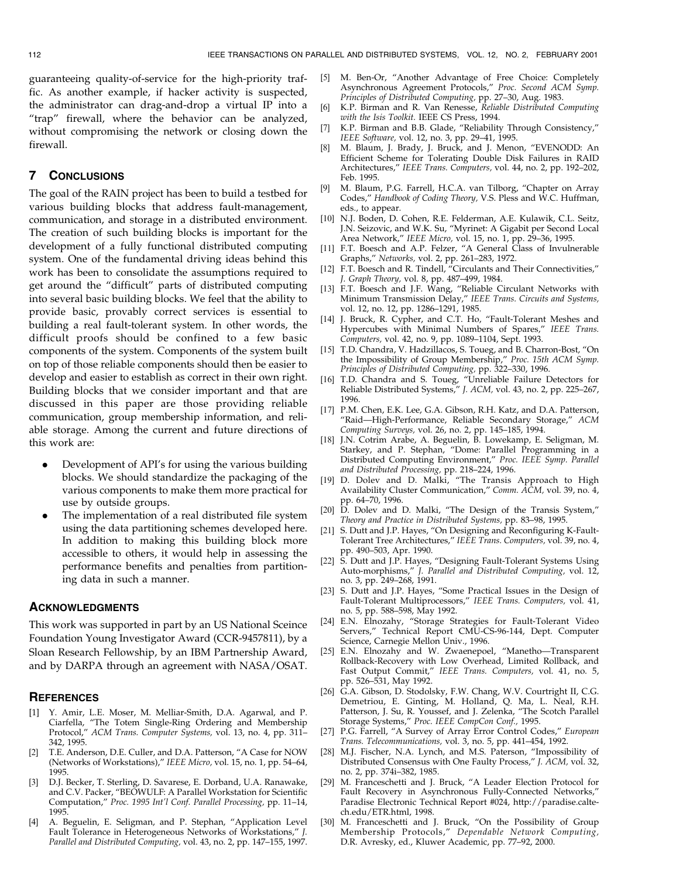guaranteeing quality-of-service for the high-priority traffic. As another example, if hacker activity is suspected, the administrator can drag-and-drop a virtual IP into a "trap" firewall, where the behavior can be analyzed, without compromising the network or closing down the firewall.

# 7 CONCLUSIONS

The goal of the RAIN project has been to build a testbed for various building blocks that address fault-management, communication, and storage in a distributed environment. The creation of such building blocks is important for the development of a fully functional distributed computing system. One of the fundamental driving ideas behind this work has been to consolidate the assumptions required to get around the "difficult" parts of distributed computing into several basic building blocks. We feel that the ability to provide basic, provably correct services is essential to building a real fault-tolerant system. In other words, the difficult proofs should be confined to a few basic components of the system. Components of the system built on top of those reliable components should then be easier to develop and easier to establish as correct in their own right. Building blocks that we consider important and that are discussed in this paper are those providing reliable communication, group membership information, and reliable storage. Among the current and future directions of this work are:

- . Development of API's for using the various building blocks. We should standardize the packaging of the various components to make them more practical for use by outside groups.
- . The implementation of a real distributed file system using the data partitioning schemes developed here. In addition to making this building block more accessible to others, it would help in assessing the performance benefits and penalties from partitioning data in such a manner.

#### ACKNOWLEDGMENTS

This work was supported in part by an US National Sceince Foundation Young Investigator Award (CCR-9457811), by a Sloan Research Fellowship, by an IBM Partnership Award, and by DARPA through an agreement with NASA/OSAT.

#### **REFERENCES**

- [1] Y. Amir, L.E. Moser, M. Melliar-Smith, D.A. Agarwal, and P. Ciarfella, ªThe Totem Single-Ring Ordering and Membership Protocol," ACM Trans. Computer Systems, vol. 13, no. 4, pp. 311-342, 1995.
- [2] T.E. Anderson, D.E. Culler, and D.A. Patterson, "A Case for NOW (Networks of Workstations)," IEEE Micro, vol. 15, no. 1, pp. 54-64, 1995.
- [3] D.J. Becker, T. Sterling, D. Savarese, E. Dorband, U.A. Ranawake, and C.V. Packer, ªBEOWULF: A Parallel Workstation for Scientific Computation," Proc. 1995 Int'l Conf. Parallel Processing, pp. 11-14, 1995.
- [4] A. Beguelin, E. Seligman, and P. Stephan, "Application Level Fault Tolerance in Heterogeneous Networks of Workstations," J. Parallel and Distributed Computing, vol. 43, no. 2, pp. 147-155, 1997.
- [5] M. Ben-Or, "Another Advantage of Free Choice: Completely Asynchronous Agreement Protocols,º Proc. Second ACM Symp. Principles of Distributed Computing, pp. 27±30, Aug. 1983.
- [6] K.P. Birman and R. Van Renesse, Reliable Distributed Computing with the Isis Toolkit. IEEE CS Press, 1994.
- [7] K.P. Birman and B.B. Glade, "Reliability Through Consistency," IEEE Software, vol. 12, no. 3, pp. 29-41, 1995.
- [8] M. Blaum, J. Brady, J. Bruck, and J. Menon, ªEVENODD: An Efficient Scheme for Tolerating Double Disk Failures in RAID Architectures," IEEE Trans. Computers, vol. 44, no. 2, pp. 192-202, Feb. 1995.
- [9] M. Blaum, P.G. Farrell, H.C.A. van Tilborg, "Chapter on Array Codes," Handbook of Coding Theory, V.S. Pless and W.C. Huffman, eds., to appear.
- [10] N.J. Boden, D. Cohen, R.E. Felderman, A.E. Kulawik, C.L. Seitz, J.N. Seizovic, and W.K. Su, ªMyrinet: A Gigabit per Second Local Area Network," IEEE Micro, vol. 15, no. 1, pp. 29-36, 1995.
- [11] F.T. Boesch and A.P. Felzer, "A General Class of Invulnerable Graphs," Networks, vol. 2, pp. 261-283, 1972.
- [12] F.T. Boesch and R. Tindell, "Circulants and Their Connectivities," J. Graph Theory, vol. 8, pp. 487-499, 1984.
- [13] F.T. Boesch and J.F. Wang, "Reliable Circulant Networks with Minimum Transmission Delay," IEEE Trans. Circuits and Systems, vol. 12, no. 12, pp. 1286-1291, 1985.
- [14] J. Bruck, R. Cypher, and C.T. Ho, "Fault-Tolerant Meshes and Hypercubes with Minimal Numbers of Spares," IEEE Trans. Computers, vol. 42, no. 9, pp. 1089-1104, Sept. 1993.
- [15] T.D. Chandra, V. Hadzillacos, S. Toueg, and B. Charron-Bost, "On the Impossibility of Group Membership," Proc. 15th ACM Symp. Principles of Distributed Computing, pp. 322–330, 1996.
- [16] T.D. Chandra and S. Toueg, ªUnreliable Failure Detectors for Reliable Distributed Systems,″ J. ACM, vol. 43, no. 2, pp. 225–267, 1996.
- [17] P.M. Chen, E.K. Lee, G.A. Gibson, R.H. Katz, and D.A. Patterson, ªRaidÐHigh-Performance, Reliable Secondary Storage,º ACM Computing Surveys, vol. 26, no. 2, pp. 145-185, 1994.
- [18] J.N. Cotrim Arabe, A. Beguelin, B. Lowekamp, E. Seligman, M. Starkey, and P. Stephan, ªDome: Parallel Programming in a Distributed Computing Environment," Proc. IEEE Symp. Parallel and Distributed Processing, pp. 218–224, 1996.
- [19] D. Dolev and D. Malki, ªThe Transis Approach to High Availability Cluster Communication," Comm. ACM, vol. 39, no. 4, pp. 64-70, 1996.
- [20] D. Dolev and D. Malki, "The Design of the Transis System," Theory and Practice in Distributed Systems, pp. 83-98, 1995.
- [21] S. Dutt and J.P. Hayes, "On Designing and Reconfiguring K-Fault-Tolerant Tree Architectures," IEEE Trans. Computers, vol. 39, no. 4, pp. 490±503, Apr. 1990.
- [22] S. Dutt and J.P. Hayes, "Designing Fault-Tolerant Systems Using Auto-morphisms," J. Parallel and Distributed Computing, vol. 12, no. 3, pp. 249-268, 1991.
- [23] S. Dutt and J.P. Hayes, "Some Practical Issues in the Design of Fault-Tolerant Multiprocessors," IEEE Trans. Computers, vol. 41, no. 5, pp. 588-598, May 1992.
- [24] E.N. Elnozahy, "Storage Strategies for Fault-Tolerant Video Servers," Technical Report CMU-CS-96-144, Dept. Computer Science, Carnegie Mellon Univ., 1996.
- [25] E.N. Elnozahy and W. Zwaenepoel, "Manetho-Transparent Rollback-Recovery with Low Overhead, Limited Rollback, and Fast Output Commit," IEEE Trans. Computers, vol. 41, no. 5, pp. 526±531, May 1992.
- [26] G.A. Gibson, D. Stodolsky, F.W. Chang, W.V. Courtright II, C.G. Demetriou, E. Ginting, M. Holland, Q. Ma, L. Neal, R.H. Patterson, J. Su, R. Youssef, and J. Zelenka, "The Scotch Parallel Storage Systems," Proc. IEEE CompCon Conf., 1995.
- [27] P.G. Farrell, "A Survey of Array Error Control Codes," European Trans. Telecommunications, vol. 3, no. 5, pp. 441-454, 1992.
- [28] M.J. Fischer, N.A. Lynch, and M.S. Paterson, "Impossibility of Distributed Consensus with One Faulty Process," J. ACM, vol. 32, no. 2, pp. 374i-382, 1985.
- M. Franceschetti and J. Bruck, "A Leader Election Protocol for Fault Recovery in Asynchronous Fully-Connected Networks," Paradise Electronic Technical Report #024, http://paradise.caltech.edu/ETR.html, 1998.
- [30] M. Franceschetti and J. Bruck, "On the Possibility of Group Membership Protocols," Dependable Network Computing, D.R. Avresky, ed., Kluwer Academic, pp. 77-92, 2000.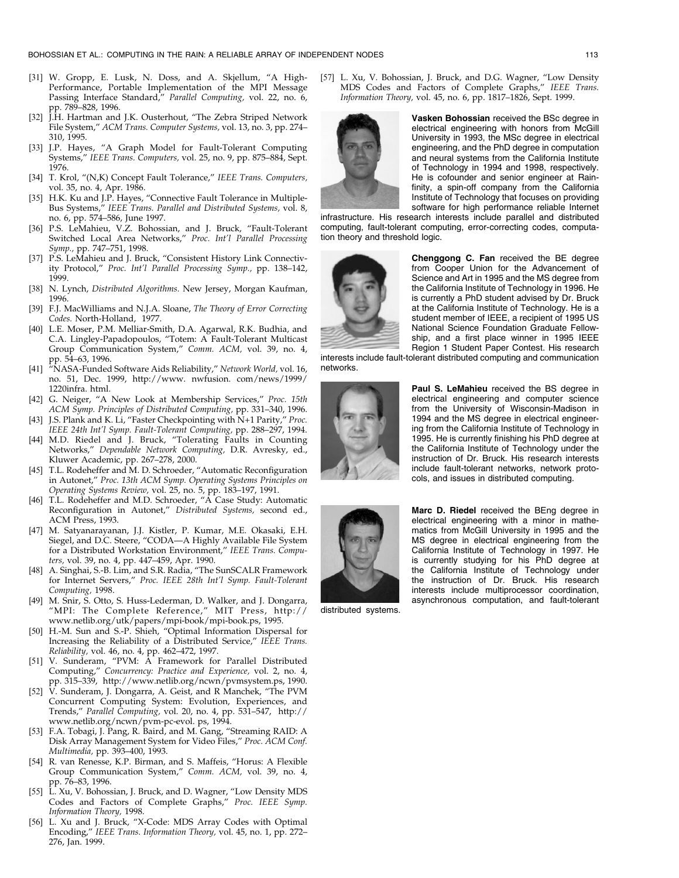- [31] W. Gropp, E. Lusk, N. Doss, and A. Skjellum, "A High-Performance, Portable Implementation of the MPI Message Passing Interface Standard," Parallel Computing, vol. 22, no. 6, pp. 789-828, 1996.
- [32] J.H. Hartman and J.K. Ousterhout, "The Zebra Striped Network File System," ACM Trans. Computer Systems, vol. 13, no. 3, pp. 274-310, 1995.
- [33] J.P. Hayes, "A Graph Model for Fault-Tolerant Computing Systems," IEEE Trans. Computers, vol. 25, no. 9, pp. 875-884, Sept. 1976.
- [34] T. Krol, "(N,K) Concept Fault Tolerance," IEEE Trans. Computers, vol. 35, no. 4, Apr. 1986.
- [35] H.K. Ku and J.P. Hayes, "Connective Fault Tolerance in Multiple-Bus Systems," IEEE Trans. Parallel and Distributed Systems, vol. 8, no. 6, pp. 574-586, June 1997.
- [36] P.S. LeMahieu, V.Z. Bohossian, and J. Bruck, "Fault-Tolerant Switched Local Area Networks," Proc. Int'l Parallel Processing Symp., pp. 747-751, 1998.
- [37] P.S. LeMahieu and J. Bruck, "Consistent History Link Connectivity Protocol," Proc. Int'l Parallel Processing Symp., pp. 138-142, 1999.
- [38] N. Lynch, Distributed Algorithms. New Jersey, Morgan Kaufman, 1996.
- [39] F.J. MacWilliams and N.J.A. Sloane, The Theory of Error Correcting Codes. North-Holland, 1977.
- [40] L.E. Moser, P.M. Melliar-Smith, D.A. Agarwal, R.K. Budhia, and C.A. Lingley-Papadopoulos, ªTotem: A Fault-Tolerant Multicast Group Communication System," Comm. ACM, vol. 39, no. 4, pp. 54-63, 1996.
- [41] "NASA-Funded Software Aids Reliability," Network World, vol. 16, no. 51, Dec. 1999, http://www. nwfusion. com/news/1999/ 1220infra. html.
- [42] G. Neiger, "A New Look at Membership Services," Proc. 15th ACM Symp. Principles of Distributed Computing, pp. 331-340, 1996.
- [43] J.S. Plank and K. Li, "Faster Checkpointing with N+1 Parity," Proc. IEEE 24th Int'l Symp. Fault-Tolerant Computing, pp. 288-297, 1994.
- [44] M.D. Riedel and J. Bruck, "Tolerating Faults in Counting Networks," Dependable Network Computing, D.R. Avresky, ed., Kluwer Academic, pp. 267-278, 2000.
- [45] T.L. Rodeheffer and M. D. Schroeder, "Automatic Reconfiguration in Autonet," Proc. 13th ACM Symp. Operating Systems Principles on Operating Systems Review, vol. 25, no. 5, pp. 183-197, 1991.
- [46] T.L. Rodeheffer and M.D. Schroeder, "A Case Study: Automatic Reconfiguration in Autonet," Distributed Systems, second ed., ACM Press, 1993.
- [47] M. Satyanarayanan, J.J. Kistler, P. Kumar, M.E. Okasaki, E.H. Siegel, and D.C. Steere, "CODA-A Highly Available File System for a Distributed Workstation Environment," IEEE Trans. Computers, vol. 39, no. 4, pp. 447-459, Apr. 1990.
- [48] A. Singhai, S.-B. Lim, and S.R. Radia, "The SunSCALR Framework for Internet Servers," Proc. IEEE 28th Int'l Symp. Fault-Tolerant Computing, 1998.
- [49] M. Snir, S. Otto, S. Huss-Lederman, D. Walker, and J. Dongarra, ªMPI: The Complete Reference,º MIT Press, http:// www.netlib.org/utk/papers/mpi-book/mpi-book.ps, 1995.
- [50] H.-M. Sun and S.-P. Shieh, "Optimal Information Dispersal for Increasing the Reliability of a Distributed Service," IEEE Trans. Reliability, vol. 46, no. 4, pp. 462-472, 1997.
- [51] V. Sunderam, ªPVM: A Framework for Parallel Distributed Computing," Concurrency: Practice and Experience, vol. 2, no. 4, pp. 315±339, http://www.netlib.org/ncwn/pvmsystem.ps, 1990.
- [52] V. Sunderam, J. Dongarra, A. Geist, and R Manchek, "The PVM Concurrent Computing System: Evolution, Experiences, and Trends," Parallel Computing, vol. 20, no. 4, pp. 531-547, http:// www.netlib.org/ncwn/pvm-pc-evol. ps, 1994.
- [53] F.A. Tobagi, J. Pang, R. Baird, and M. Gang, "Streaming RAID: A Disk Array Management System for Video Files," Proc. ACM Conf. Multimedia, pp. 393-400, 1993.
- [54] R. van Renesse, K.P. Birman, and S. Maffeis, ªHorus: A Flexible Group Communication System," Comm. ACM, vol. 39, no. 4, pp. 76–83, 1996.
- [55] L. Xu, V. Bohossian, J. Bruck, and D. Wagner, "Low Density MDS Codes and Factors of Complete Graphs," Proc. IEEE Symp. Information Theory, 1998.
- [56] L. Xu and J. Bruck, "X-Code: MDS Array Codes with Optimal Encoding," IEEE Trans. Information Theory, vol. 45, no. 1, pp. 272-276, Jan. 1999.

[57] L. Xu, V. Bohossian, J. Bruck, and D.G. Wagner, ªLow Density MDS Codes and Factors of Complete Graphs," IEEE Trans. Information Theory, vol. 45, no. 6, pp. 1817-1826, Sept. 1999.



Vasken Bohossian received the BSc degree in electrical engineering with honors from McGill University in 1993, the MSc degree in electrical engineering, and the PhD degree in computation and neural systems from the California Institute of Technology in 1994 and 1998, respectively. He is cofounder and senior engineer at Rainfinity, a spin-off company from the California Institute of Technology that focuses on providing software for high performance reliable Internet

infrastructure. His research interests include parallel and distributed computing, fault-tolerant computing, error-correcting codes, computation theory and threshold logic.



Chenggong C. Fan received the BE degree from Cooper Union for the Advancement of Science and Art in 1995 and the MS degree from the California Institute of Technology in 1996. He is currently a PhD student advised by Dr. Bruck at the California Institute of Technology. He is a student member of IEEE, a recipient of 1995 US National Science Foundation Graduate Fellowship, and a first place winner in 1995 IEEE Region 1 Student Paper Contest. His research

interests include fault-tolerant distributed computing and communication networks.



Paul S. LeMahieu received the BS degree in electrical engineering and computer science from the University of Wisconsin-Madison in 1994 and the MS degree in electrical engineering from the California Institute of Technology in 1995. He is currently finishing his PhD degree at the California Institute of Technology under the instruction of Dr. Bruck. His research interests include fault-tolerant networks, network protocols, and issues in distributed computing.



Marc D. Riedel received the BEng degree in electrical engineering with a minor in mathematics from McGill University in 1995 and the MS degree in electrical engineering from the California Institute of Technology in 1997. He is currently studying for his PhD degree at the California Institute of Technology under the instruction of Dr. Bruck. His research interests include multiprocessor coordination, asynchronous computation, and fault-tolerant

distributed systems.